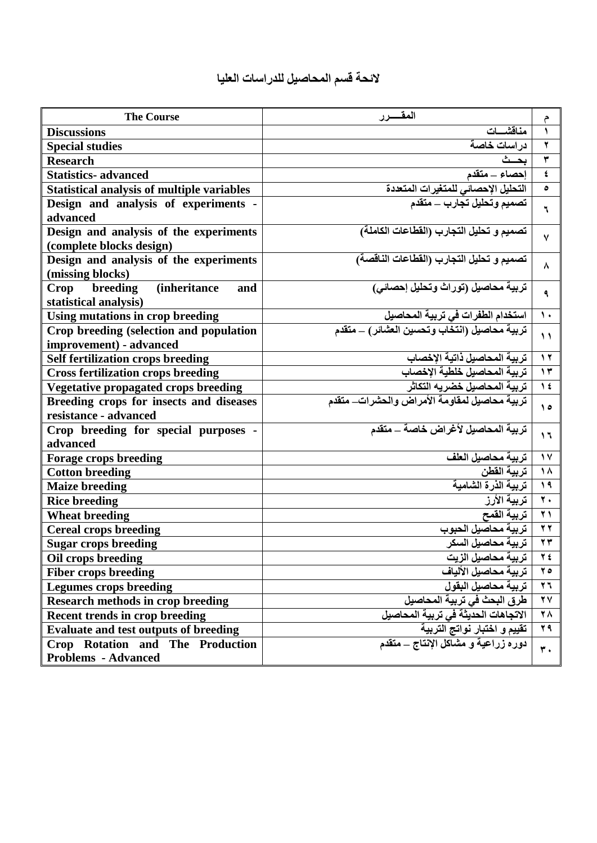| <b>The Course</b>                                                        | المقسرر                                        | م                         |
|--------------------------------------------------------------------------|------------------------------------------------|---------------------------|
| <b>Discussions</b>                                                       | مناقشسات                                       | ١                         |
| <b>Special studies</b>                                                   | در اسات خاصة                                   | ۲                         |
| <b>Research</b>                                                          | بحث                                            | ۳                         |
| <b>Statistics-</b> advanced                                              | احصاء _ متقدم                                  | $\pmb{\epsilon}$          |
| <b>Statistical analysis of multiple variables</b>                        | التحليل الإحصائي للمتغيرات المتعددة            | ٥                         |
| Design and analysis of experiments -                                     | تصميم وتحليل تجارب ـــ متقدم                   | ٦                         |
| advanced                                                                 |                                                |                           |
| Design and analysis of the experiments                                   | تصميم و تحليل التجارب (القطاعات الكاملة)       | $\mathsf{V}$              |
| (complete blocks design)                                                 |                                                |                           |
| Design and analysis of the experiments<br>(missing blocks)               | تصميم و تحليل التجارب (القطاعات الناقصة)       | ۸                         |
| breeding<br><i>(inheritance)</i><br>Crop<br>and<br>statistical analysis) | تربية محاصيل (توراث وتحليل إحصائي)             | ٩                         |
| Using mutations in crop breeding                                         | استخدام الطفرات في تربية المحاصيل              | $\mathcal{L}$             |
| Crop breeding (selection and population<br>improvement) - advanced       | تربية محاصيل (انتخاب وتحسين العشائر) ـــ متقدم | $\lambda$                 |
| <b>Self fertilization crops breeding</b>                                 | تربية المحاصيل ذاتية الإخصاب                   | $\lambda$                 |
| <b>Cross fertilization crops breeding</b>                                | تربية المحاصيل خلطية الإخصاب                   | $\gamma$                  |
| Vegetative propagated crops breeding                                     | تربية المحاصيل خضريه التكاثر                   | $\lambda$                 |
| Breeding crops for insects and diseases                                  | تربية محاصيل لمقاومة الأمراض والحشرات_ متقدم   |                           |
| resistance - advanced                                                    |                                                | $\theta$                  |
| Crop breeding for special purposes -                                     | تربية المحاصيل لأغراض خاصة _ متقدم             |                           |
| advanced                                                                 |                                                | 1٦                        |
| <b>Forage crops breeding</b>                                             | تربية محاصيل العلف                             | $\sqrt{2}$                |
| <b>Cotton breeding</b>                                                   | تربية القطن                                    | $\Lambda$                 |
| <b>Maize breeding</b>                                                    | تربية الذرة الشامية                            | $\lambda$                 |
| <b>Rice breeding</b>                                                     | تربية الأرز                                    | $\overline{\cdot}$        |
| <b>Wheat breeding</b>                                                    | تربية القمح                                    | $\bf{y}$                  |
| <b>Cereal crops breeding</b>                                             |                                                | $\tau$                    |
| <b>Sugar crops breeding</b>                                              | تربية محاصيل السكر                             | $\mathbf{y}$              |
| Oil crops breeding                                                       | تربية محاصيل الزيت                             | 2 2                       |
| <b>Fiber crops breeding</b>                                              | تربية محاصيل الألياف                           | $\forall$ 0               |
| <b>Legumes crops breeding</b>                                            | تربية محاصيل البقول                            | $\mathbf{y}$              |
| <b>Research methods in crop breeding</b>                                 | طرق البحث في تربية المحاصيل                    | $\mathbf{Y}$              |
| <b>Recent trends in crop breeding</b>                                    | الاتجاهات الحديثة في تربية المحاصيل            | <b>28</b>                 |
| <b>Evaluate and test outputs of breeding</b>                             | تقييم و اختبار نواتج التربية                   | 29                        |
| Crop Rotation and The Production                                         | دوره زراعية و مشاكل الإنتاج _ متقدم            | $\overline{\mathbf{r}}$ . |
| <b>Problems - Advanced</b>                                               |                                                |                           |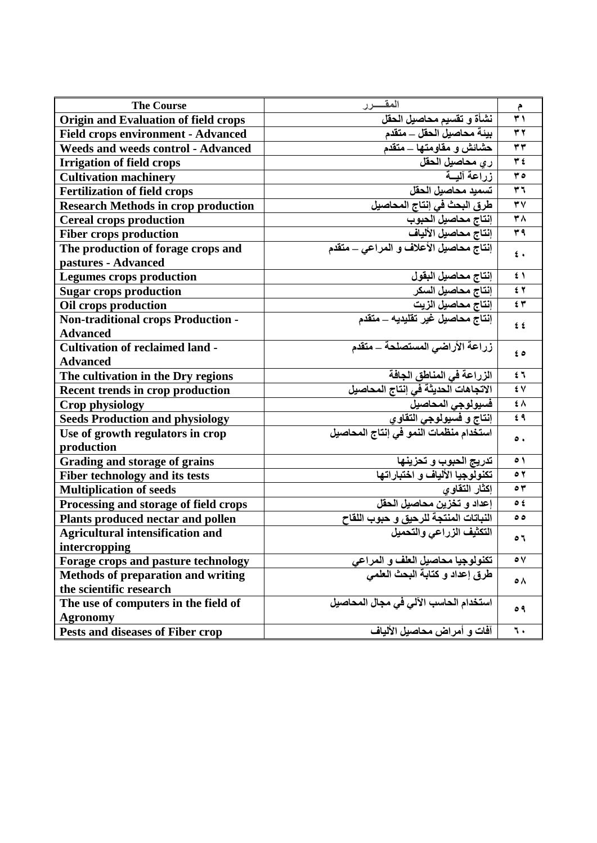| <b>The Course</b>                          | المقسرر                                                            | م                       |
|--------------------------------------------|--------------------------------------------------------------------|-------------------------|
| Origin and Evaluation of field crops       | نشأة و تقسيم محاصيل الحقل                                          | $\overline{\mathbf{r}}$ |
| <b>Field crops environment - Advanced</b>  | بيئة محاصيل الحقل ـــ متقدم                                        | $\tau$ $\tau$           |
| <b>Weeds and weeds control - Advanced</b>  | حشائش و مقاومتها ــ متقدم                                          | $\tau \tau$             |
| <b>Irrigation of field crops</b>           | ري محاصيل الحقل                                                    | $\overline{\mathbf{y}}$ |
| <b>Cultivation machinery</b>               | ذراعة آلمسة                                                        | $\mathbf{r}$            |
| <b>Fertilization of field crops</b>        | تسميد محاصيل الحقل                                                 | $\mathbf{r}$            |
| <b>Research Methods in crop production</b> | طرق البحث في إنتاج المحاصيل                                        | $\overline{Y}$          |
| <b>Cereal crops production</b>             | إنتاج محاصيل الحبوب                                                | $\overline{r}$          |
| <b>Fiber crops production</b>              | إنتاج محاصيل الألياف                                               | 44                      |
| The production of forage crops and         | إنتاج محاصيل الأعلاف و المراعي _ متقدم                             | $\epsilon$ .            |
| pastures - Advanced                        |                                                                    |                         |
| <b>Legumes crops production</b>            | إنتاج محاصيل البقول                                                | $\epsilon$ \            |
| <b>Sugar crops production</b>              | إنتاج محاصيل السكر                                                 | 5 <sup>7</sup>          |
| Oil crops production                       | إنتاج محاصيل الزيت                                                 | 57                      |
| <b>Non-traditional crops Production -</b>  | إنتاج محاصيل غير تقليديه ـــ متقدم                                 | $\epsilon$ $\epsilon$   |
| <b>Advanced</b>                            |                                                                    |                         |
| <b>Cultivation of reclaimed land -</b>     | زراعة الأراضى المستصلحة _ متقدم                                    | ه ځ                     |
| <b>Advanced</b>                            |                                                                    |                         |
| The cultivation in the Dry regions         | الزراعة في المناطق الجافة                                          | 54                      |
| <b>Recent trends in crop production</b>    | الاتجاهات الحديثة في إنتاج المحاصيل                                | ٤V                      |
| Crop physiology                            | فسيو لوجي المحاصيل                                                 | ŧΛ                      |
| <b>Seeds Production and physiology</b>     | إنتاج و فسيولوجي التقاوي                                           | $f$ ٩                   |
| Use of growth regulators in crop           | استخدام منظمات النمو في إنتاج المحاصيل                             | $\bullet$ .             |
| production                                 |                                                                    |                         |
| Grading and storage of grains              | <u>تدريج الحبوب و تحزينها</u><br>تكنولوجيا الألياف و اختباراتها    | $\circ$                 |
| Fiber technology and its tests             |                                                                    | $\circ$ $\check{\ }$    |
| <b>Multiplication of seeds</b>             | إكثار التقاوى                                                      | $\circ$                 |
| Processing and storage of field crops      | إعداد و تخزين محاصيل الحقل                                         | O 2                     |
| Plants produced nectar and pollen          | النباتات المنتجة للرحيق و حبوب اللقاح<br>التكثيف الزراعي والتحميل  | ه ه                     |
| <b>Agricultural intensification and</b>    |                                                                    | ٥٦                      |
| intercropping                              |                                                                    |                         |
| Forage crops and pasture technology        | تكنولوجيا محاصيل العلف و المراعي<br>طرق إعداد و كتابة البحث العلمي | $\circ$ $\vee$          |
| <b>Methods of preparation and writing</b>  |                                                                    | ه ه                     |
| the scientific research                    |                                                                    |                         |
| The use of computers in the field of       | استخدام الحاسب الآلي في مجال المحاصيل                              | $\circ$ ٩               |
| <b>Agronomy</b>                            |                                                                    |                         |
| Pests and diseases of Fiber crop           | آفات و أمراض محاصيل الألياف                                        | ٦.                      |